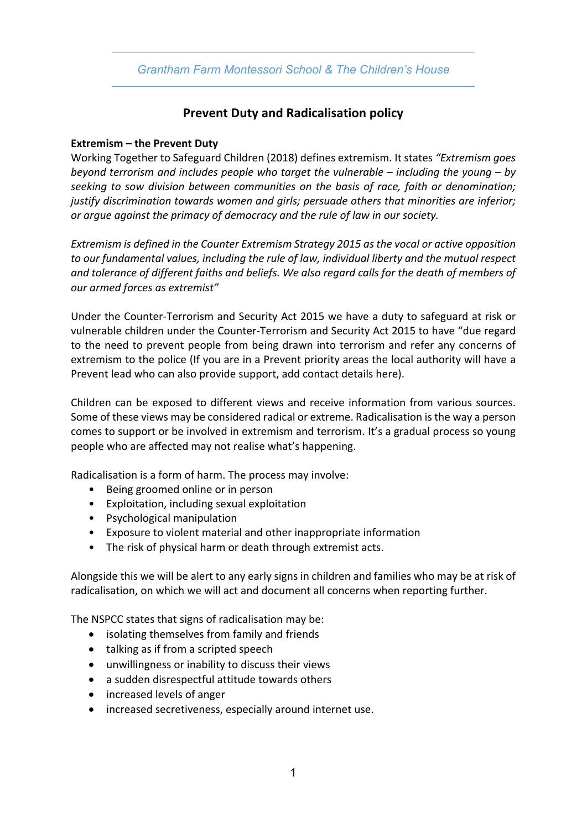## *Grantham Farm Montessori School & The Children's House*

## **Prevent Duty and Radicalisation policy**

## **Extremism – the Prevent Duty**

Working Together to Safeguard Children (2018) defines extremism. It states *"Extremism goes beyond terrorism and includes people who target the vulnerable – including the young – by seeking to sow division between communities on the basis of race, faith or denomination; justify discrimination towards women and girls; persuade others that minorities are inferior; or argue against the primacy of democracy and the rule of law in our society.*

*Extremism is defined in the Counter Extremism Strategy 2015 as the vocal or active opposition to our fundamental values, including the rule of law, individual liberty and the mutual respect and tolerance of different faiths and beliefs. We also regard calls for the death of members of our armed forces as extremist"*

Under the Counter-Terrorism and Security Act 2015 we have a duty to safeguard at risk or vulnerable children under the Counter-Terrorism and Security Act 2015 to have "due regard to the need to prevent people from being drawn into terrorism and refer any concerns of extremism to the police (If you are in a Prevent priority areas the local authority will have a Prevent lead who can also provide support, add contact details here).

Children can be exposed to different views and receive information from various sources. Some of these views may be considered radical or extreme. Radicalisation is the way a person comes to support or be involved in extremism and terrorism. It's a gradual process so young people who are affected may not realise what's happening.

Radicalisation is a form of harm. The process may involve:

- Being groomed online or in person
- Exploitation, including sexual exploitation
- Psychological manipulation
- Exposure to violent material and other inappropriate information
- The risk of physical harm or death through extremist acts.

Alongside this we will be alert to any early signs in children and families who may be at risk of radicalisation, on which we will act and document all concerns when reporting further.

The NSPCC states that signs of radicalisation may be:

- isolating themselves from family and friends
- talking as if from a scripted speech
- unwillingness or inability to discuss their views
- a sudden disrespectful attitude towards others
- increased levels of anger
- increased secretiveness, especially around internet use.